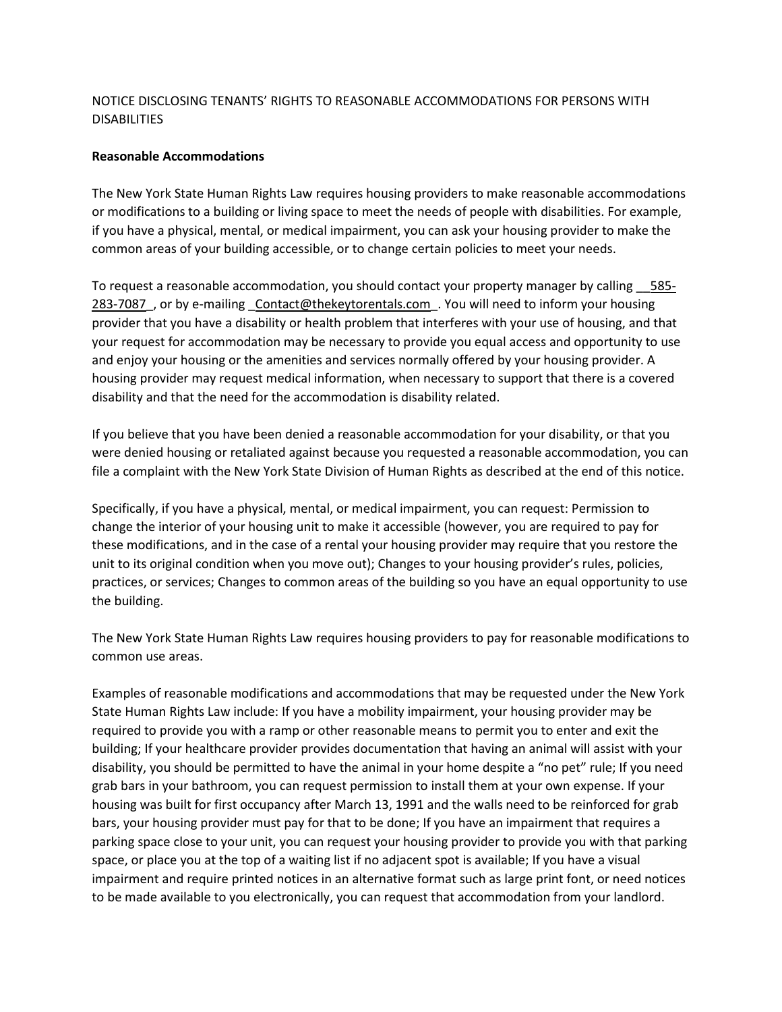## NOTICE DISCLOSING TENANTS' RIGHTS TO REASONABLE ACCOMMODATIONS FOR PERSONS WITH DISABILITIES

## **Reasonable Accommodations**

The New York State Human Rights Law requires housing providers to make reasonable accommodations or modifications to a building or living space to meet the needs of people with disabilities. For example, if you have a physical, mental, or medical impairment, you can ask your housing provider to make the common areas of your building accessible, or to change certain policies to meet your needs.

To request a reasonable accommodation, you should contact your property manager by calling \_\_585- 283-7087, or by e-mailing Contact@thekeytorentals.com. You will need to inform your housing provider that you have a disability or health problem that interferes with your use of housing, and that your request for accommodation may be necessary to provide you equal access and opportunity to use and enjoy your housing or the amenities and services normally offered by your housing provider. A housing provider may request medical information, when necessary to support that there is a covered disability and that the need for the accommodation is disability related.

If you believe that you have been denied a reasonable accommodation for your disability, or that you were denied housing or retaliated against because you requested a reasonable accommodation, you can file a complaint with the New York State Division of Human Rights as described at the end of this notice.

Specifically, if you have a physical, mental, or medical impairment, you can request: Permission to change the interior of your housing unit to make it accessible (however, you are required to pay for these modifications, and in the case of a rental your housing provider may require that you restore the unit to its original condition when you move out); Changes to your housing provider's rules, policies, practices, or services; Changes to common areas of the building so you have an equal opportunity to use the building.

The New York State Human Rights Law requires housing providers to pay for reasonable modifications to common use areas.

Examples of reasonable modifications and accommodations that may be requested under the New York State Human Rights Law include: If you have a mobility impairment, your housing provider may be required to provide you with a ramp or other reasonable means to permit you to enter and exit the building; If your healthcare provider provides documentation that having an animal will assist with your disability, you should be permitted to have the animal in your home despite a "no pet" rule; If you need grab bars in your bathroom, you can request permission to install them at your own expense. If your housing was built for first occupancy after March 13, 1991 and the walls need to be reinforced for grab bars, your housing provider must pay for that to be done; If you have an impairment that requires a parking space close to your unit, you can request your housing provider to provide you with that parking space, or place you at the top of a waiting list if no adjacent spot is available; If you have a visual impairment and require printed notices in an alternative format such as large print font, or need notices to be made available to you electronically, you can request that accommodation from your landlord.